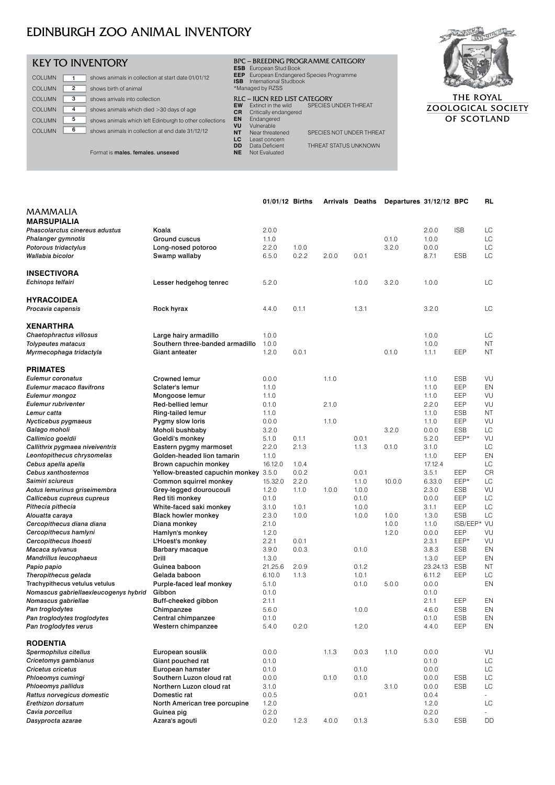| <b>KEY TO INVENTORY</b>                                                       | BPC - BREEDING PROGRAMME CATEGORY<br><b>ESB</b> European Stud Book                                    |     |
|-------------------------------------------------------------------------------|-------------------------------------------------------------------------------------------------------|-----|
| <b>COLUMN</b><br>shows animals in collection at start date 01/01/12           | European Endangered Species Programme<br>EEP.<br>International Studbook<br><b>ISB</b>                 |     |
| <b>COLUMN</b><br>shows birth of animal<br>2                                   | *Managed by RZSS                                                                                      |     |
| 3<br><b>COLUMN</b><br>shows arrivals into collection                          | <b>RLC - ILICN RED LIST CATEGORY</b>                                                                  |     |
| <b>COLUMN</b><br>shows animals which died >30 days of age<br>4                | <b>SPECIES UNDER THREAT</b><br><b>EW</b><br>Extinct in the wild<br><b>CR</b><br>Critically endangered | ZOC |
| 5<br><b>COLUMN</b><br>shows animals which left Edinburgh to other collections | <b>EN</b><br>Endangered                                                                               |     |
| 6<br><b>COLUMN</b><br>shows animals in collection at end date 31/12/12        | VU<br>Vulnerable<br><b>NT</b><br>SPECIES NOT UNDER THREAT<br>Near threatened<br>LC<br>Least concern   |     |
| Format is males, females, unsexed                                             | THREAT STATUS UNKNOWN<br>DD<br>Data Deficient<br><b>NE</b><br>Not Evaluated                           |     |





THE ROYAL **LOGICAL SOCIETY** OF SCOTLAND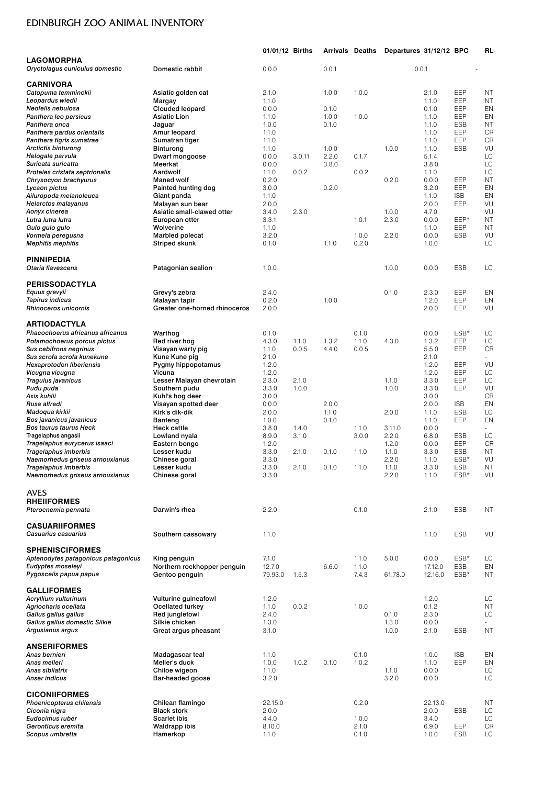|                                                                 |                                               | 01/01/12 Births   |        |                | <b>Arrivals Deaths</b> | Departures 31/12/12 BPC |                    |                   | RL        |
|-----------------------------------------------------------------|-----------------------------------------------|-------------------|--------|----------------|------------------------|-------------------------|--------------------|-------------------|-----------|
| <b>LAGOMORPHA</b>                                               |                                               |                   |        |                |                        |                         |                    |                   |           |
| Oryctolagus cuniculus domestic                                  | Domestic rabbit                               | 0.0.0             |        | 0.0.1          |                        |                         | 0.0.1              |                   |           |
| <b>CARNIVORA</b>                                                |                                               |                   |        |                |                        |                         |                    |                   |           |
| Catopuma temminckii                                             | Asiatic golden cat                            | 2.1.0             |        | 1.0.0          | 1.0.0                  |                         | 2.1.0              | EEP               | ΝT        |
| Leopardus wiedii                                                | Margay                                        | 1.1.0             |        |                |                        |                         | 1.1.0              | EEP               | <b>NT</b> |
| Neofelis nebulosa                                               | Clouded leopard                               | 0.0.0             |        | 0.1.0          |                        |                         | 0.1.0              | EEP               | EN        |
| Panthera leo persicus                                           | Asiatic Lion                                  | 1.1.0             |        | 1.0.0          | 1.0.0                  |                         | 1.1.0              | EEP               | EN        |
| Panthera onca                                                   | Jaguar                                        | 1.0.0             |        | 0.1.0          |                        |                         | 1.1.0              | <b>ESB</b>        | ΝT        |
| Panthera pardus orientalis                                      | Amur leopard                                  | 1.1.0             |        |                |                        |                         | 1.1.0              | EEP               | CR        |
| Panthera tigris sumatrae                                        | Sumatran tiger                                | 1.1.0             |        |                |                        |                         | 1.1.0              | EEP               | CR        |
| <b>Arctictis binturong</b>                                      | <b>Binturong</b>                              | 1.1.0             |        | 1.0.0          |                        | 1.0.0                   | 1.1.0              | <b>ESB</b>        | VU<br>LC  |
| Helogale parvula<br>Suricata suricatta                          | Dwarf mongoose<br>Meerkat                     | 0.0.0<br>0.0.0    | 3.0.11 | 2.2.0<br>3.8.0 | 0.1.7                  |                         | 5.1.4<br>3.8.0     |                   | LC        |
| Proteles cristata septrionalis                                  | Aardwolf                                      | 1.1.0             | 0.0.2  |                | 0.0.2                  |                         | 1.1.0              |                   | LC        |
| Chrysocyon brachyurus                                           | <b>Maned wolf</b>                             | 0.2.0             |        |                |                        | 0.2.0                   | 0.0.0              | EEP               | <b>NT</b> |
| Lycaon pictus                                                   | Painted hunting dog                           | 3.0.0             |        | 0.2.0          |                        |                         | 3.2.0              | EEP               | EN        |
| Ailuropoda melanoleuca                                          | Giant panda                                   | 1.1.0             |        |                |                        |                         | 1.1.0              | <b>ISB</b>        | EN        |
| <b>Helarctos malayanus</b>                                      | Malayan sun bear                              | 2.0.0             |        |                |                        |                         | 2.0.0              | EEP               | VU        |
| Aonyx cinerea                                                   | Asiatic small-clawed otter                    | 3.4.0             | 2.3.0  |                |                        | 1.0.0                   | 4.7.0              |                   | VU        |
| Lutra lutra lutra                                               | European otter                                | 3.3.1             |        |                | 1.0.1                  | 2.3.0                   | 0.0.0              | EEP*              | <b>NT</b> |
| Gulo gulo gulo                                                  | Wolverine                                     | 1.1.0             |        |                |                        |                         | 1.1.0              | EEP               | <b>NT</b> |
| Vormela peregusna                                               | Marbled polecat                               | 3.2.0             |        |                | 1.0.0                  | 2.2.0                   | 0.0.0              | ESB               | VU        |
| <b>Mephitis mephitis</b>                                        | Striped skunk                                 | 0.1.0             |        | 1.1.0          | 0.2.0                  |                         | 1.0.0              |                   | LC        |
| PINNIPEDIA                                                      |                                               |                   |        |                |                        |                         |                    |                   |           |
| Otaria flavescens                                               | Patagonian sealion                            | 1.0.0             |        |                |                        | 1.0.0                   | 0.0.0              | <b>ESB</b>        | LC        |
|                                                                 |                                               |                   |        |                |                        |                         |                    |                   |           |
| <b>PERISSODACTYLA</b>                                           |                                               |                   |        |                |                        |                         |                    |                   |           |
| Equus grevyii                                                   | Grevy's zebra                                 | 2.4.0             |        |                |                        | 0.1.0                   | 2.3.0              | EEP               | EN        |
| <b>Tapirus indicus</b>                                          | Malayan tapir                                 | 0.2.0             |        | 1.0.0          |                        |                         | 1.2.0              | EEP               | EN        |
| Rhinoceros unicornis                                            | Greater one-horned rhinoceros                 | 2.0.0             |        |                |                        |                         | 2.0.0              | EEP               | VU        |
|                                                                 |                                               |                   |        |                |                        |                         |                    |                   |           |
| <b>ARTIODACTYLA</b>                                             |                                               |                   |        |                |                        |                         |                    | ESB*              |           |
| Phacochoerus africanus africanus<br>Potamochoerus porcus pictus | Warthog<br>Red river hog                      | 0.1.0<br>4.3.0    | 1.1.0  | 1.3.2          | 0.1.0<br>1.1.0         | 4.3.0                   | 0.0.0<br>1.3.2     | EEP               | LC<br>LC  |
| Sus cebifrons negrinus                                          | Visayan warty pig                             | 1.1.0             | 0.0.5  | 4.4.0          | 0.0.5                  |                         | 5.5.0              | EEP               | CR        |
| Sus scrofa scrofa kunekune                                      | Kune Kune pig                                 | 2.1.0             |        |                |                        |                         | 2.1.0              |                   |           |
| <b>Hexaprotodon liberiensis</b>                                 | Pygmy hippopotamus                            | 1.2.0             |        |                |                        |                         | 1.2.0              | EEP               | VU        |
| Vicugna vicugna                                                 | Vicuna                                        | 1.2.0             |        |                |                        |                         | 1.2.0              | EEP               | LC        |
| Tragulus javanicus                                              | Lesser Malayan chevrotain                     | 2.3.0             | 2.1.0  |                |                        | 1.1.0                   | 3.3.0              | EEP               | LC        |
| Pudu puda                                                       | Southern pudu                                 | 3.3.0             | 1.0.0  |                |                        | 1.0.0                   | 3.3.0              | EEP               | VU        |
| Axis kuhlii                                                     | Kuhl's hog deer                               | 3.0.0             |        |                |                        |                         | 3.0.0              |                   | <b>CR</b> |
| Rusa alfredi                                                    | Visayan spotted deer                          | 0.0.0             |        | 2.0.0          |                        |                         | 2.0.0              | <b>ISB</b>        | EN        |
| Madoqua kirkii                                                  | Kirk's dik-dik                                | 2.0.0             |        | 1.1.0          |                        | 2.0.0                   | 1.1.0              | <b>ESB</b><br>EEP | LC        |
| Bos javanicus javanicus<br><b>Bos taurus taurus Heck</b>        | Banteng<br>Heck cattle                        | 1.0.0<br>3.8.0    | 1.4.0  | 0.1.0          | 1.1.0                  | 3.11.0                  | 1.1.0<br>0.0.0     |                   | EN<br>÷.  |
| Tragelaphus angasii                                             | Lowland nyala                                 | 8.9.0             | 3.1.0  |                | 3.0.0                  | 2.2.0                   | 6.8.0              | <b>ESB</b>        | LC        |
| Tragelaphus eurycerus isaaci                                    | Eastern bongo                                 | 1.2.0             |        |                |                        | 1.2.0                   | 0.0.0              | EEP               | <b>CR</b> |
| Tragelaphus imberbis                                            | Lesser kudu                                   | 3.3.0             | 2.1.0  | 0.1.0          | 1.1.0                  | 1.1.0                   | 3.3.0              | ESB               | <b>NT</b> |
| Naemorhedus griseus arnouxianus                                 | Chinese goral                                 | 3.3.0             |        |                |                        | 2.2.0                   | 1.1.0              | ESB*              | VU        |
| Iragelaphus imberbis                                            | Lesser kudu                                   | 3.3.0             | 2.1.0  | 0.1.0          | 1.1.0                  | 1.1.0                   | 3.3.0              | ESB               | <b>NT</b> |
| Naemorhedus griseus arnouxianus                                 | Chinese goral                                 | 3.3.0             |        |                |                        | 2.2.0                   | 1.1.0              | ESB*              | VU        |
|                                                                 |                                               |                   |        |                |                        |                         |                    |                   |           |
| <b>AVES</b>                                                     |                                               |                   |        |                |                        |                         |                    |                   |           |
| <b>RHEIIFORMES</b><br>Pterocnemia pennata                       | Darwin's rhea                                 | 2.2.0             |        |                | 0.1.0                  |                         | 2.1.0              | <b>ESB</b>        | <b>NT</b> |
|                                                                 |                                               |                   |        |                |                        |                         |                    |                   |           |
| <b>CASUARIIFORMES</b>                                           |                                               |                   |        |                |                        |                         |                    |                   |           |
| Casuarius casuarius                                             | Southern cassowary                            | 1.1.0             |        |                |                        |                         | 1.1.0              | <b>ESB</b>        | VU        |
|                                                                 |                                               |                   |        |                |                        |                         |                    |                   |           |
| <b>SPHENISCIFORMES</b>                                          |                                               |                   |        |                |                        |                         |                    |                   |           |
| Aptenodytes patagonicus patagonicus                             | King penguin                                  | 7.1.0             |        |                | 1.1.0                  | 5.0.0                   | 0.0.0              | ESB*              | LC        |
| Eudyptes moseleyi                                               | Northern rockhopper penguin<br>Gentoo penguin | 12.7.0<br>79.93.0 | 1.5.3  | 6.6.0          | 1.1.0<br>7.4.3         | 61.78.0                 | 17.12.0<br>12.16.0 | ESB<br>ESB*       | EN<br>ΝT  |
| Pygoscelis papua papua                                          |                                               |                   |        |                |                        |                         |                    |                   |           |
| <b>GALLIFORMES</b>                                              |                                               |                   |        |                |                        |                         |                    |                   |           |
| <b>Acryllium vulturinum</b>                                     | Vulturine guineafowl                          | 1.2.0             |        |                |                        |                         | 1.2.0              |                   | LC        |
| Agriocharis ocellata                                            | Ocellated turkey                              | 1.1.0             | 0.0.2  |                | 1.0.0                  |                         | 0.1.2              |                   | <b>NT</b> |
| Gallus gallus gallus                                            | Red junglefowl                                | 2.4.0             |        |                |                        | 0.1.0                   | 2.3.0              |                   | LC        |
| Gallus gallus domestic Silkie                                   | Silkie chicken                                | 1.3.0             |        |                |                        | 1.3.0                   | 0.0.0              |                   |           |
| Argusianus argus                                                | Great argus pheasant                          | 3.1.0             |        |                |                        | 1.0.0                   | 2.1.0              | ESB               | <b>NT</b> |
| <b>ANSERIFORMES</b>                                             |                                               |                   |        |                |                        |                         |                    |                   |           |
| Anas bernieri                                                   | Madagascar teal                               | 1.1.0             |        |                | 0.1.0                  |                         | 1.0.0              | <b>ISB</b>        | EN        |
| Anas melleri                                                    | Meller's duck                                 | 1.0.0             | 1.0.2  | 0.1.0          | 1.0.2                  |                         | 1.1.0              | EEP               | EN        |
| Anas sibilatrix                                                 | Chiloe wigeon                                 | 1.1.0             |        |                |                        | 1.1.0                   | 0.0.0              |                   | LC        |
| Anser indicus                                                   | Bar-headed goose                              | 3.2.0             |        |                |                        | 3.2.0                   | 0.0.0              |                   | LC        |
|                                                                 |                                               |                   |        |                |                        |                         |                    |                   |           |
| <b>CICONIIFORMES</b>                                            |                                               |                   |        |                |                        |                         |                    |                   |           |
| Phoenicopterus chilensis                                        | Chilean flamingo                              | 22.15.0           |        |                | 0.2.0                  |                         | 22.13.0            |                   | ΝT        |
| Ciconia nigra                                                   | <b>Black stork</b>                            | 2.0.0             |        |                |                        |                         | 2.0.0              | <b>ESB</b>        | LC        |
| Eudocimus ruber<br>Geronticus eremita                           | <b>Scarlet ibis</b>                           | 4.4.0             |        |                | 1.0.0<br>2.1.0         |                         | 3.4.0              | EEP               | LC<br>CR  |
| Scopus umbretta                                                 | Waldrapp ibis<br>Hamerkop                     | 8.10.0<br>1.1.0   |        |                | 0.1.0                  |                         | 6.9.0<br>1.0.0     | ESB               | LC        |
|                                                                 |                                               |                   |        |                |                        |                         |                    |                   |           |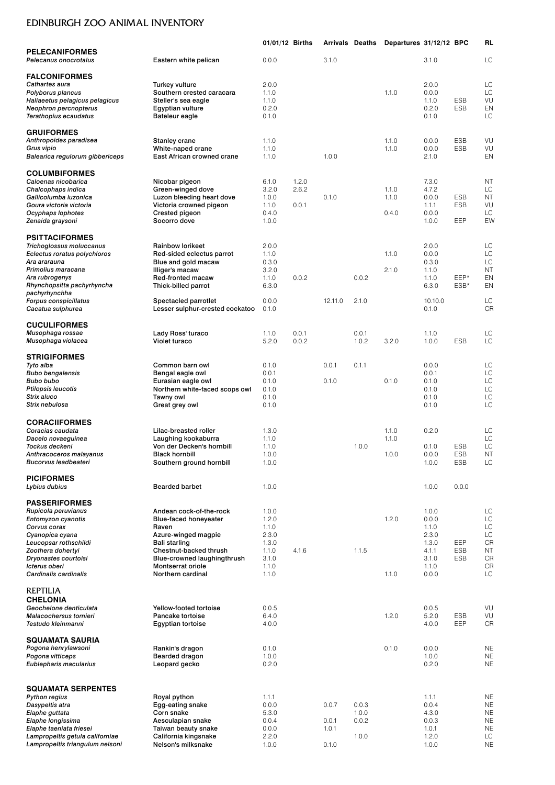|                                                                    |                                                       | 01/01/12 Births |       | <b>Arrivals Deaths</b> |       | Departures 31/12/12 BPC |                |                          | <b>RL</b>              |
|--------------------------------------------------------------------|-------------------------------------------------------|-----------------|-------|------------------------|-------|-------------------------|----------------|--------------------------|------------------------|
| <b>PELECANIFORMES</b><br>Pelecanus onocrotalus                     | Eastern white pelican                                 | 0.0.0           |       | 3.1.0                  |       |                         | 3.1.0          |                          | LC                     |
| <b>FALCONIFORMES</b>                                               |                                                       |                 |       |                        |       |                         |                |                          |                        |
| Cathartes aura                                                     | Turkey vulture                                        | 2.0.0           |       |                        |       |                         | 2.0.0          |                          | LC                     |
| Polyborus plancus                                                  | Southern crested caracara                             | 1.1.0           |       |                        |       | 1.1.0                   | 0.0.0          |                          | LC                     |
| Haliaeetus pelagicus pelagicus                                     | Steller's sea eagle                                   | 1.1.0           |       |                        |       |                         | 1.1.0          | <b>ESB</b><br><b>ESB</b> | VU                     |
| Neophron percnopterus<br>Terathopius ecaudatus                     | Egyptian vulture<br>Bateleur eagle                    | 0.2.0<br>0.1.0  |       |                        |       |                         | 0.2.0<br>0.1.0 |                          | EN<br>LC               |
| <b>GRUIFORMES</b>                                                  |                                                       |                 |       |                        |       |                         |                |                          |                        |
| Anthropoides paradisea                                             | <b>Stanley crane</b>                                  | 1.1.0           |       |                        |       | 1.1.0                   | 0.0.0          | <b>ESB</b>               | VU                     |
| Grus vipio<br>Balearica regulorum gibbericeps                      | White-naped crane<br>East African crowned crane       | 1.1.0<br>1.1.0  |       | 1.0.0                  |       | 1.1.0                   | 0.0.0<br>2.1.0 | <b>ESB</b>               | VU<br>EN               |
|                                                                    |                                                       |                 |       |                        |       |                         |                |                          |                        |
| <b>COLUMBIFORMES</b>                                               |                                                       |                 |       |                        |       |                         |                |                          |                        |
| Caloenas nicobarica                                                | Nicobar pigeon                                        | 6.1.0           | 1.2.0 |                        |       |                         | 7.3.0          |                          | <b>NT</b>              |
| Chalcophaps indica<br>Gallicolumba luzonica                        | Green-winged dove<br>Luzon bleeding heart dove        | 3.2.0<br>1.0.0  | 2.6.2 | 0.1.0                  |       | 1.1.0<br>1.1.0          | 4.7.2<br>0.0.0 | <b>ESB</b>               | LC<br><b>NT</b>        |
| Goura victoria victoria                                            | Victoria crowned pigeon                               | 1.1.0           | 0.0.1 |                        |       |                         | 1.1.1          | <b>ESB</b>               | VU                     |
| Ocyphaps lophotes                                                  | Crested pigeon                                        | 0.4.0           |       |                        |       | 0.4.0                   | 0.0.0          |                          | LC                     |
| Zenaida graysoni                                                   | Socorro dove                                          | 1.0.0           |       |                        |       |                         | 1.0.0          | EEP                      | EW                     |
| <b>PSITTACIFORMES</b>                                              |                                                       |                 |       |                        |       |                         |                |                          |                        |
| Trichoglossus moluccanus                                           | Rainbow lorikeet                                      | 2.0.0           |       |                        |       |                         | 2.0.0          |                          | LC                     |
| Eclectus roratus polychloros<br>Ara ararauna                       | Red-sided eclectus parrot                             | 1.1.0<br>0.3.0  |       |                        |       | 1.1.0                   | 0.0.0<br>0.3.0 |                          | LC<br>LC               |
| Primolius maracana                                                 | Blue and gold macaw<br>Illiger's macaw                | 3.2.0           |       |                        |       | 2.1.0                   | 1.1.0          |                          | <b>NT</b>              |
| Ara rubrogenys                                                     | Red-fronted macaw                                     | 1.1.0           | 0.0.2 |                        | 0.0.2 |                         | 1.1.0          | EEP*                     | EN                     |
| Rhynchopsitta pachyrhyncha                                         | Thick-billed parrot                                   | 6.3.0           |       |                        |       |                         | 6.3.0          | ESB*                     | EN                     |
| pachyrhynchha<br>Forpus conspicillatus                             | Spectacled parrotlet                                  | 0.0.0           |       | 12.11.0                | 2.1.0 |                         | 10.10.0        |                          | LC                     |
| Cacatua sulphurea                                                  | Lesser sulphur-crested cockatoo                       | 0.1.0           |       |                        |       |                         | 0.1.0          |                          | <b>CR</b>              |
| <b>CUCULIFORMES</b>                                                |                                                       |                 |       |                        |       |                         |                |                          |                        |
| Musophaga rossae                                                   | Lady Ross' turaco                                     | 1.1.0           | 0.0.1 |                        | 0.0.1 |                         | 1.1.0          |                          | LC                     |
| Musophaga violacea                                                 | Violet turaco                                         | 5.2.0           | 0.0.2 |                        | 1.0.2 | 3.2.0                   | 1.0.0          | <b>ESB</b>               | LC                     |
| <b>STRIGIFORMES</b>                                                |                                                       |                 |       |                        |       |                         |                |                          |                        |
| Tyto alba                                                          | Common barn owl                                       | 0.1.0           |       | 0.0.1                  | 0.1.1 |                         | 0.0.0          |                          | LC                     |
| <b>Bubo bengalensis</b><br><b>Bubo bubo</b>                        | Bengal eagle owl<br>Eurasian eagle owl                | 0.0.1<br>0.1.0  |       | 0.1.0                  |       | 0.1.0                   | 0.0.1<br>0.1.0 |                          | LC<br>LC               |
| <b>Ptilopsis leucotis</b>                                          | Northern white-faced scops owl                        | 0.1.0           |       |                        |       |                         | 0.1.0          |                          | LC                     |
| Strix aluco                                                        | Tawny owl                                             | 0.1.0           |       |                        |       |                         | 0.1.0          |                          | LC                     |
| Strix nebulosa                                                     | Great grey owl                                        | 0.1.0           |       |                        |       |                         | 0.1.0          |                          | LC                     |
| <b>CORACIIFORMES</b>                                               |                                                       |                 |       |                        |       |                         |                |                          |                        |
| Coracias caudata                                                   | Lilac-breasted roller                                 | 1.3.0           |       |                        |       | 1.1.0                   | 0.2.0          |                          | LC<br>LC               |
| Dacelo novaeguinea<br>Tockus deckeni                               | Laughing kookaburra<br>Von der Decken's hornbill      | 1.1.0<br>1.1.0  |       |                        | 1.0.0 | 1.1.0                   | 0.1.0          | <b>ESB</b>               | LC                     |
| Anthracoceros malayanus                                            | Black hornbill                                        | 1.0.0           |       |                        |       | 1.0.0                   | 0.0.0          | <b>ESB</b>               | <b>NT</b>              |
| <b>Bucorvus leadbeateri</b>                                        | Southern ground hornbill                              | 1.0.0           |       |                        |       |                         | 1.0.0          | <b>ESB</b>               | LC                     |
| <b>PICIFORMES</b>                                                  |                                                       |                 |       |                        |       |                         |                |                          |                        |
| Lybius dubius                                                      | <b>Bearded barbet</b>                                 | 1.0.0           |       |                        |       |                         | 1.0.0          | 0.0.0                    |                        |
| <b>PASSERIFORMES</b>                                               | Andean cock-of-the-rock                               | 1.0.0           |       |                        |       |                         | 1.0.0          |                          | LC                     |
| Rupicola peruvianus<br>Entomyzon cyanotis                          | <b>Blue-faced honeyeater</b>                          | 1.2.0           |       |                        |       | 1.2.0                   | 0.0.0          |                          | LC                     |
| Corvus corax                                                       | Raven                                                 | 1.1.0           |       |                        |       |                         | 1.1.0          |                          | LC                     |
| Cyanopica cyana                                                    | Azure-winged magpie                                   | 2.3.0           |       |                        |       |                         | 2.3.0          |                          | LC                     |
| Leucopsar rothschildi                                              | Bali starling                                         | 1.3.0           |       |                        |       |                         | 1.3.0          | EEP                      | CR                     |
| Zoothera dohertyi<br>Dryonastes courtoisi                          | Chestnut-backed thrush<br>Blue-crowned laughingthrush | 1.1.0<br>3.1.0  | 4.1.6 |                        | 1.1.5 |                         | 4.1.1<br>3.1.0 | ESB<br>ESB               | <b>NT</b><br>CR        |
| Icterus oberi                                                      | Montserrat oriole                                     | 1.1.0           |       |                        |       |                         | 1.1.0          |                          | CR                     |
| Cardinalis cardinalis                                              | Northern cardinal                                     | 1.1.0           |       |                        |       | 1.1.0                   | 0.0.0          |                          | LC                     |
| <b>REPTILIA</b>                                                    |                                                       |                 |       |                        |       |                         |                |                          |                        |
| <b>CHELONIA</b>                                                    |                                                       |                 |       |                        |       |                         |                |                          |                        |
| Geochelone denticulata                                             | Yellow-footed tortoise                                | 0.0.5           |       |                        |       |                         | 0.0.5          |                          | VU                     |
| Malacochersus tornieri<br>Testudo kleinmanni                       | Pancake tortoise<br>Egyptian tortoise                 | 6.4.0<br>4.0.0  |       |                        |       | 1.2.0                   | 5.2.0<br>4.0.0 | <b>ESB</b><br>EEP        | VU<br>CR               |
|                                                                    |                                                       |                 |       |                        |       |                         |                |                          |                        |
| <b>SQUAMATA SAURIA</b><br>Pogona henrylawsoni                      |                                                       | 0.1.0           |       |                        |       | 0.1.0                   | 0.0.0          |                          | <b>NE</b>              |
| Pogona vitticeps                                                   | Rankin's dragon<br>Bearded dragon                     | 1.0.0           |       |                        |       |                         | 1.0.0          |                          | <b>NE</b>              |
| Eublepharis macularius                                             | Leopard gecko                                         | 0.2.0           |       |                        |       |                         | 0.2.0          |                          | <b>NE</b>              |
|                                                                    |                                                       |                 |       |                        |       |                         |                |                          |                        |
| <b>SQUAMATA SERPENTES</b>                                          |                                                       |                 |       |                        |       |                         |                |                          |                        |
| <b>Python regius</b><br>Dasypeltis atra                            | Royal python<br>Egg-eating snake                      | 1.1.1<br>0.0.0  |       | 0.0.7                  | 0.0.3 |                         | 1.1.1<br>0.0.4 |                          | <b>NE</b><br><b>NE</b> |
| Elaphe guttata                                                     | Corn snake                                            | 5.3.0           |       |                        | 1.0.0 |                         | 4.3.0          |                          | <b>NE</b>              |
| Elaphe longissima                                                  | Aesculapian snake                                     | 0.0.4           |       | 0.0.1                  | 0.0.2 |                         | 0.0.3          |                          | <b>NE</b>              |
| Elaphe taeniata friesei                                            | Taiwan beauty snake                                   | 0.0.0           |       | 1.0.1                  |       |                         | 1.0.1          |                          | <b>NE</b>              |
| Lampropeltis getula californiae<br>Lampropeltis triangulum nelsoni | California kingsnake<br>Nelson's milksnake            | 2.2.0<br>1.0.0  |       | 0.1.0                  | 1.0.0 |                         | 1.2.0<br>1.0.0 |                          | LC<br><b>NE</b>        |
|                                                                    |                                                       |                 |       |                        |       |                         |                |                          |                        |